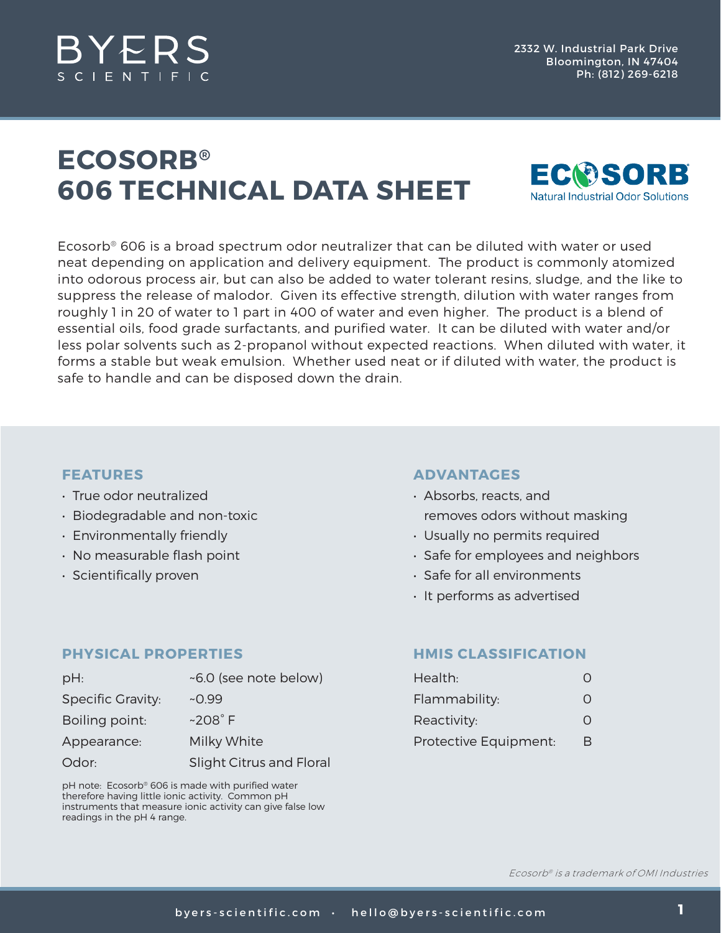

## **ECOSORB® 606 TECHNICAL DATA SHEET**



Ecosorb® 606 is a broad spectrum odor neutralizer that can be diluted with water or used neat depending on application and delivery equipment. The product is commonly atomized into odorous process air, but can also be added to water tolerant resins, sludge, and the like to suppress the release of malodor. Given its effective strength, dilution with water ranges from roughly 1 in 20 of water to 1 part in 400 of water and even higher. The product is a blend of essential oils, food grade surfactants, and purified water. It can be diluted with water and/or less polar solvents such as 2-propanol without expected reactions. When diluted with water, it forms a stable but weak emulsion. Whether used neat or if diluted with water, the product is safe to handle and can be disposed down the drain.

### **FEATURES**

- True odor neutralized
- Biodegradable and non-toxic
- Environmentally friendly
- No measurable flash point
- Scientifically proven

### **PHYSICAL PROPERTIES**

| $pH$ :                   | ~6.0 (see note below)    |
|--------------------------|--------------------------|
| <b>Specific Gravity:</b> | $-0.99$                  |
| Boiling point:           | $~208^\circ$ F           |
| Appearance:              | Milky White              |
| Odor:                    | Slight Citrus and Floral |

pH note: Ecosorb® 606 is made with purified water therefore having little ionic activity. Common pH instruments that measure ionic activity can give false low readings in the pH 4 range.

### **ADVANTAGES**

- Absorbs, reacts, and removes odors without masking
- Usually no permits required
- Safe for employees and neighbors
- Safe for all environments
- It performs as advertised

### **HMIS CLASSIFICATION**

| Health:               | O |
|-----------------------|---|
| Flammability:         | O |
| Reactivity:           | O |
| Protective Equipment: | В |

Ecosorb® is a trademark of OMI Industries